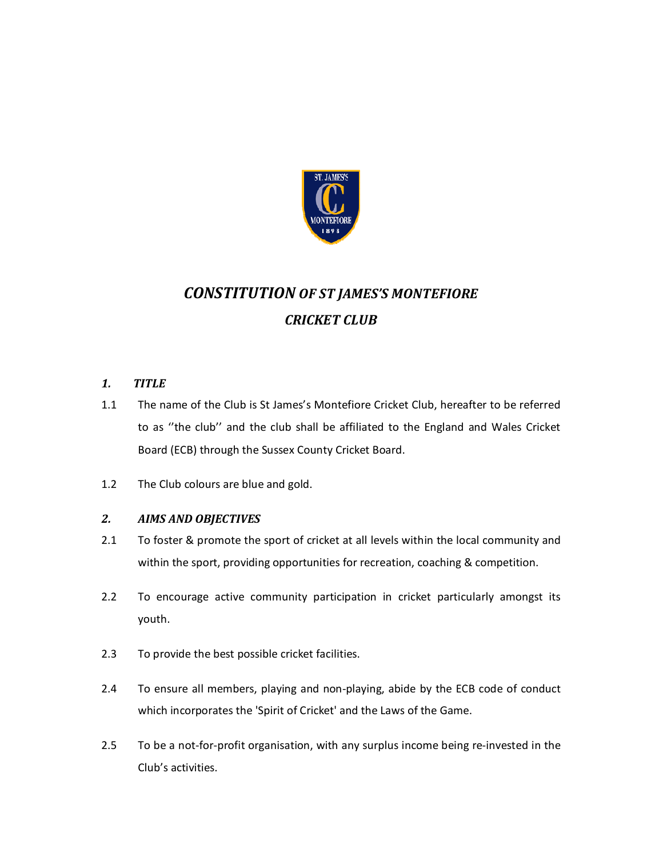

# *CONSTITUTION OF ST JAMES'S MONTEFIORE CRICKET CLUB*

- *1. TITLE*
- 1.1 The name of the Club is St James's Montefiore Cricket Club, hereafter to be referred to as ''the club'' and the club shall be affiliated to the England and Wales Cricket Board (ECB) through the Sussex County Cricket Board.
- 1.2 The Club colours are blue and gold.

# *2. AIMS AND OBJECTIVES*

- 2.1 To foster & promote the sport of cricket at all levels within the local community and within the sport, providing opportunities for recreation, coaching & competition.
- 2.2 To encourage active community participation in cricket particularly amongst its youth.
- 2.3 To provide the best possible cricket facilities.
- 2.4 To ensure all members, playing and non-playing, abide by the ECB code of conduct which incorporates the 'Spirit of Cricket' and the Laws of the Game.
- 2.5 To be a not-for-profit organisation, with any surplus income being re-invested in the Club's activities.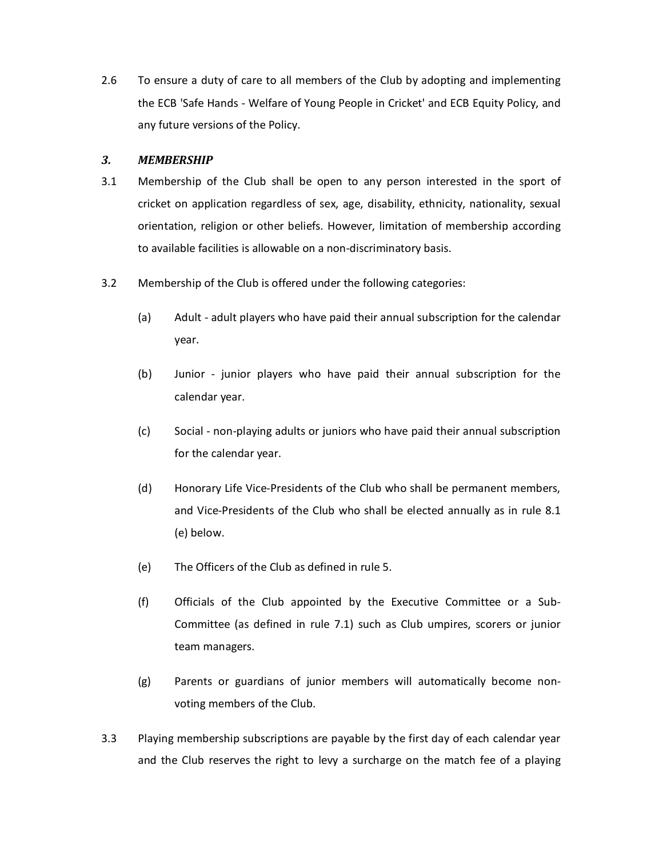2.6 To ensure a duty of care to all members of the Club by adopting and implementing the ECB 'Safe Hands - Welfare of Young People in Cricket' and ECB Equity Policy, and any future versions of the Policy.

# *3. MEMBERSHIP*

- 3.1 Membership of the Club shall be open to any person interested in the sport of cricket on application regardless of sex, age, disability, ethnicity, nationality, sexual orientation, religion or other beliefs. However, limitation of membership according to available facilities is allowable on a non-discriminatory basis.
- 3.2 Membership of the Club is offered under the following categories:
	- (a) Adult adult players who have paid their annual subscription for the calendar year.
	- (b) Junior junior players who have paid their annual subscription for the calendar year.
	- (c) Social non-playing adults or juniors who have paid their annual subscription for the calendar year.
	- (d) Honorary Life Vice-Presidents of the Club who shall be permanent members, and Vice-Presidents of the Club who shall be elected annually as in rule 8.1 (e) below.
	- (e) The Officers of the Club as defined in rule 5.
	- (f) Officials of the Club appointed by the Executive Committee or a Sub-Committee (as defined in rule 7.1) such as Club umpires, scorers or junior team managers.
	- (g) Parents or guardians of junior members will automatically become nonvoting members of the Club.
- 3.3 Playing membership subscriptions are payable by the first day of each calendar year and the Club reserves the right to levy a surcharge on the match fee of a playing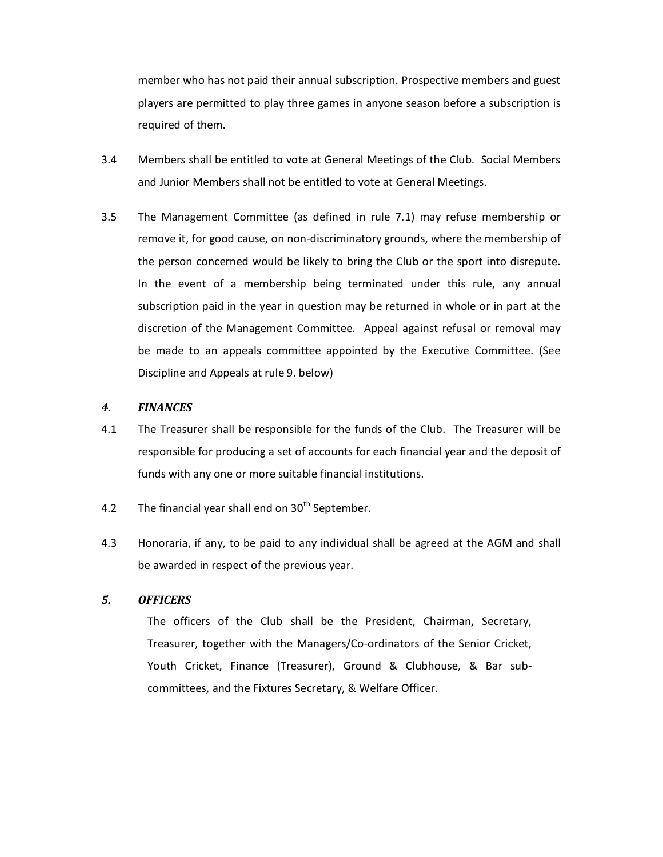member who has not paid their annual subscription. Prospective members and guest players are permitted to play three games in anyone season before a subscription is required of them.

- 3.4 Members shall be entitled to vote at General Meetings of the Club. Social Members and Junior Members shall not be entitled to vote at General Meetings.
- 3.5 The Management Committee (as defined in rule 7.1) may refuse membership or remove it, for good cause, on non-discriminatory grounds, where the membership of the person concerned would be likely to bring the Club or the sport into disrepute. In the event of a membership being terminated under this rule, any annual subscription paid in the year in question may be returned in whole or in part at the discretion of the Management Committee. Appeal against refusal or removal may be made to an appeals committee appointed by the Executive Committee. (See Discipline and Appeals at rule 9. below)

#### *4. FINANCES*

- 4.1 The Treasurer shall be responsible for the funds of the Club. The Treasurer will be responsible for producing a set of accounts for each financial year and the deposit of funds with any one or more suitable financial institutions.
- 4.2 The financial year shall end on  $30<sup>th</sup>$  September.
- 4.3 Honoraria, if any, to be paid to any individual shall be agreed at the AGM and shall be awarded in respect of the previous year.

#### *5. OFFICERS*

 The officers of the Club shall be the President, Chairman, Secretary, Treasurer, together with the Managers/Co-ordinators of the Senior Cricket, Youth Cricket, Finance (Treasurer), Ground & Clubhouse, & Bar subcommittees, and the Fixtures Secretary, & Welfare Officer.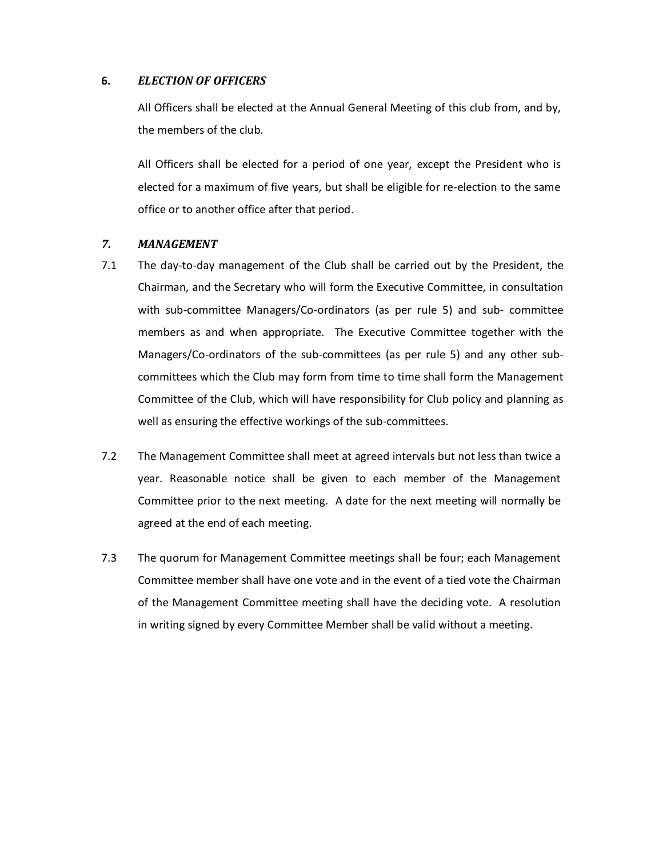#### **6.** *ELECTION OF OFFICERS*

 All Officers shall be elected at the Annual General Meeting of this club from, and by, the members of the club.

 All Officers shall be elected for a period of one year, except the President who is elected for a maximum of five years, but shall be eligible for re-election to the same office or to another office after that period.

#### *7. MANAGEMENT*

- 7.1 The day-to-day management of the Club shall be carried out by the President, the Chairman, and the Secretary who will form the Executive Committee, in consultation with sub-committee Managers/Co-ordinators (as per rule 5) and sub- committee members as and when appropriate. The Executive Committee together with the Managers/Co-ordinators of the sub-committees (as per rule 5) and any other subcommittees which the Club may form from time to time shall form the Management Committee of the Club, which will have responsibility for Club policy and planning as well as ensuring the effective workings of the sub-committees.
- 7.2 The Management Committee shall meet at agreed intervals but not less than twice a year. Reasonable notice shall be given to each member of the Management Committee prior to the next meeting. A date for the next meeting will normally be agreed at the end of each meeting.
- 7.3 The quorum for Management Committee meetings shall be four; each Management Committee member shall have one vote and in the event of a tied vote the Chairman of the Management Committee meeting shall have the deciding vote. A resolution in writing signed by every Committee Member shall be valid without a meeting.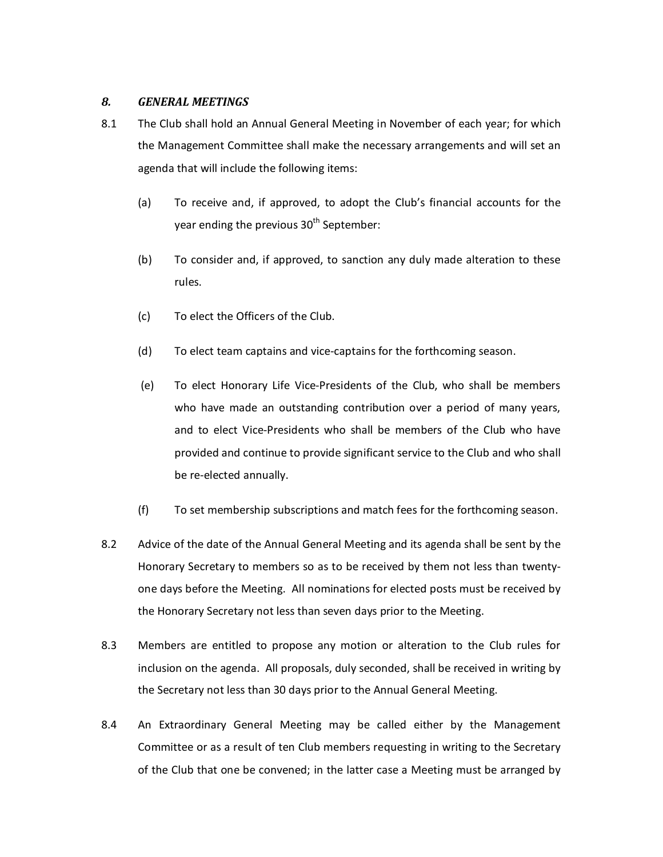# *8. GENERAL MEETINGS*

- 8.1 The Club shall hold an Annual General Meeting in November of each year; for which the Management Committee shall make the necessary arrangements and will set an agenda that will include the following items:
	- (a) To receive and, if approved, to adopt the Club's financial accounts for the year ending the previous  $30<sup>th</sup>$  September:
	- (b) To consider and, if approved, to sanction any duly made alteration to these rules.
	- (c) To elect the Officers of the Club.
	- (d) To elect team captains and vice-captains for the forthcoming season.
	- (e) To elect Honorary Life Vice-Presidents of the Club, who shall be members who have made an outstanding contribution over a period of many years, and to elect Vice-Presidents who shall be members of the Club who have provided and continue to provide significant service to the Club and who shall be re-elected annually.
	- (f) To set membership subscriptions and match fees for the forthcoming season.
- 8.2 Advice of the date of the Annual General Meeting and its agenda shall be sent by the Honorary Secretary to members so as to be received by them not less than twentyone days before the Meeting. All nominations for elected posts must be received by the Honorary Secretary not less than seven days prior to the Meeting.
- 8.3 Members are entitled to propose any motion or alteration to the Club rules for inclusion on the agenda. All proposals, duly seconded, shall be received in writing by the Secretary not less than 30 days prior to the Annual General Meeting.
- 8.4 An Extraordinary General Meeting may be called either by the Management Committee or as a result of ten Club members requesting in writing to the Secretary of the Club that one be convened; in the latter case a Meeting must be arranged by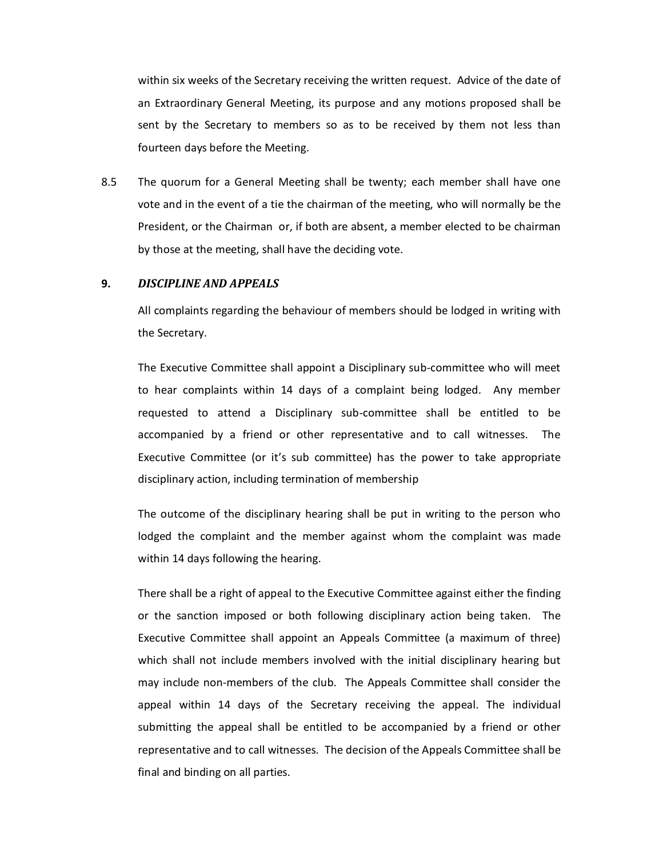within six weeks of the Secretary receiving the written request. Advice of the date of an Extraordinary General Meeting, its purpose and any motions proposed shall be sent by the Secretary to members so as to be received by them not less than fourteen days before the Meeting.

8.5 The quorum for a General Meeting shall be twenty; each member shall have one vote and in the event of a tie the chairman of the meeting, who will normally be the President, or the Chairman or, if both are absent, a member elected to be chairman by those at the meeting, shall have the deciding vote.

#### **9.** *DISCIPLINE AND APPEALS*

All complaints regarding the behaviour of members should be lodged in writing with the Secretary.

 The Executive Committee shall appoint a Disciplinary sub-committee who will meet to hear complaints within 14 days of a complaint being lodged. Any member requested to attend a Disciplinary sub-committee shall be entitled to be accompanied by a friend or other representative and to call witnesses. The Executive Committee (or it's sub committee) has the power to take appropriate disciplinary action, including termination of membership

 The outcome of the disciplinary hearing shall be put in writing to the person who lodged the complaint and the member against whom the complaint was made within 14 days following the hearing.

 There shall be a right of appeal to the Executive Committee against either the finding or the sanction imposed or both following disciplinary action being taken. The Executive Committee shall appoint an Appeals Committee (a maximum of three) which shall not include members involved with the initial disciplinary hearing but may include non-members of the club. The Appeals Committee shall consider the appeal within 14 days of the Secretary receiving the appeal. The individual submitting the appeal shall be entitled to be accompanied by a friend or other representative and to call witnesses. The decision of the Appeals Committee shall be final and binding on all parties.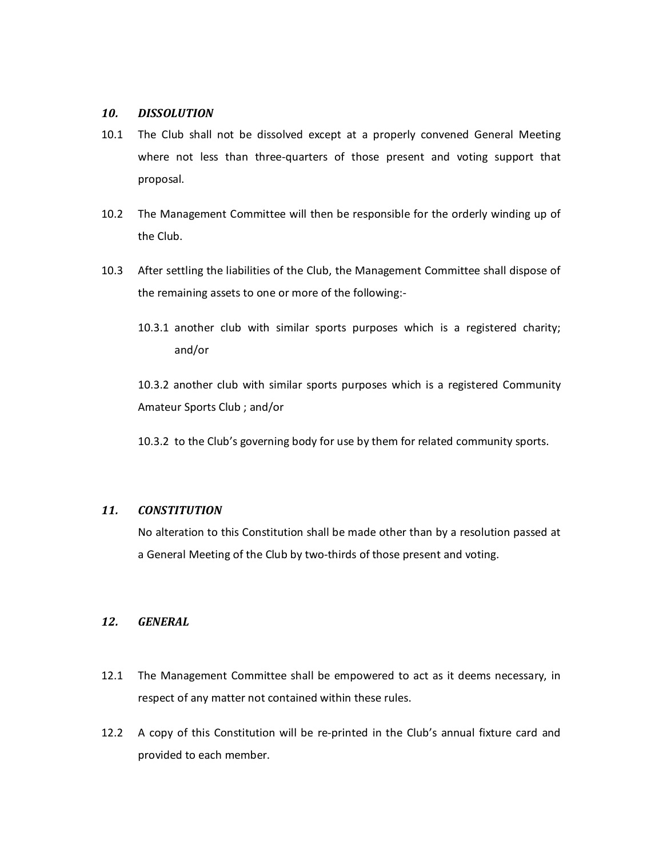# *10. DISSOLUTION*

- 10.1 The Club shall not be dissolved except at a properly convened General Meeting where not less than three-quarters of those present and voting support that proposal.
- 10.2 The Management Committee will then be responsible for the orderly winding up of the Club.
- 10.3 After settling the liabilities of the Club, the Management Committee shall dispose of the remaining assets to one or more of the following:-
	- 10.3.1 another club with similar sports purposes which is a registered charity; and/or

10.3.2 another club with similar sports purposes which is a registered Community Amateur Sports Club ; and/or

10.3.2 to the Club's governing body for use by them for related community sports.

#### *11. CONSTITUTION*

 No alteration to this Constitution shall be made other than by a resolution passed at a General Meeting of the Club by two-thirds of those present and voting.

# *12. GENERAL*

- 12.1 The Management Committee shall be empowered to act as it deems necessary, in respect of any matter not contained within these rules.
- 12.2 A copy of this Constitution will be re-printed in the Club's annual fixture card and provided to each member.